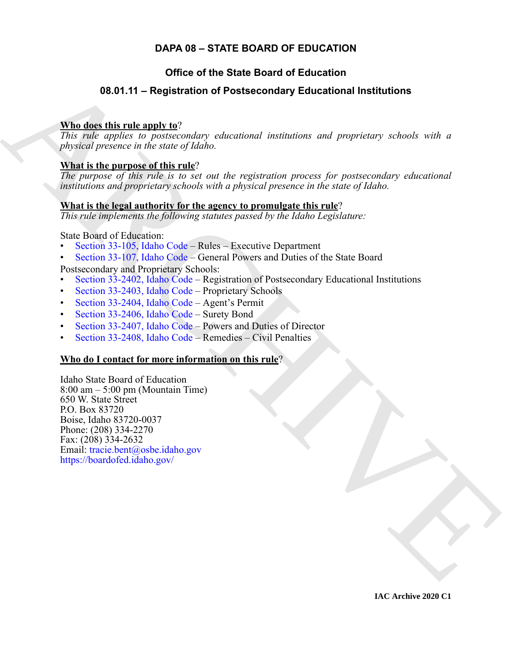## **DAPA 08 – STATE BOARD OF EDUCATION**

## **Office of the State Board of Education**

## <span id="page-0-0"></span>**08.01.11 – Registration of Postsecondary Educational Institutions**

### **Who does this rule apply to**?

*This rule applies to postsecondary educational institutions and proprietary schools with a physical presence in the state of Idaho.*

### **What is the purpose of this rule**?

*The purpose of this rule is to set out the registration process for postsecondary educational institutions and proprietary schools with a physical presence in the state of Idaho.*

### **What is the legal authority for the agency to promulgate this rule**?

*This rule implements the following statutes passed by the Idaho Legislature:*

State Board of Education:

- Section 33-105, Idaho Code Rules Executive Department
- Section 33-107, Idaho Code General Powers and Duties of the State Board Postsecondary and Proprietary Schools:
- Section 33-2402, Idaho Code Registration of Postsecondary Educational Institutions
- Section 33-2403, Idaho Code Proprietary Schools
- Section 33-2404, Idaho Code Agent's Permit
- Section 33-2406, Idaho Code Surety Bond
- Section 33-2407, Idaho Code Powers and Duties of Director
- Section 33-2408, Idaho Code Remedies Civil Penalties

### **Who do I contact for more information on this rule**?

**08.01.11 – [R](https://legislature.idaho.gov/statutesrules/idstat/Title33/T33CH1/SECT33-107/)egistration of Postsecondary Educational [I](mailto: tracie.bent@osbe.idaho.gov)nstitutions**<br>
This ratio complete to photoscondary educational institutions<br>  $\frac{1}{100}$ , ratio complete to photoscondary educational institutions and proporatory sch Idaho State Board of Education  $8:00 \text{ am} - 5:00 \text{ pm}$  (Mountain Time) 650 W. State Street P.O. Box 83720 Boise, Idaho 83720-0037 Phone: (208) 334-2270 Fax: (208) 334-2632 Email: tracie.bent@osbe.idaho.gov https://boardofed.idaho.gov/

**IAC Archive 2020 C1**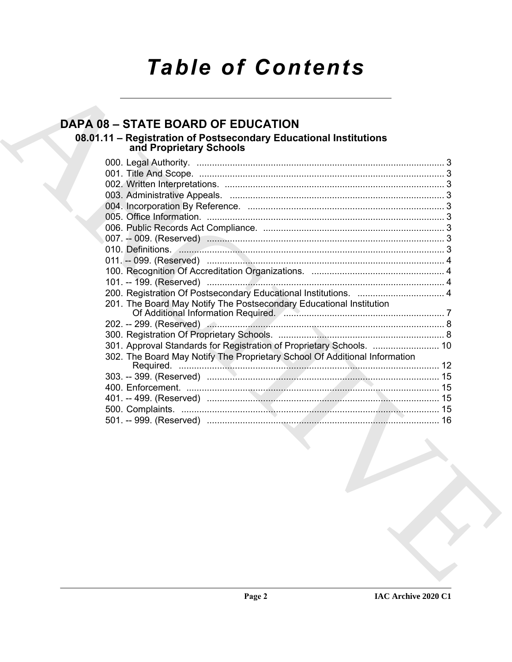# **Table of Contents**

# **DAPA 08 - STATE BOARD OF EDUCATION**

# 08.01.11 – Registration of Postsecondary Educational Institutions<br>and Proprietary Schools

| 200. Registration Of Postsecondary Educational Institutions.  4                                                         |  |
|-------------------------------------------------------------------------------------------------------------------------|--|
| 201. The Board May Notify The Postsecondary Educational Institution                                                     |  |
| Of Additional Information Required. <b>Communications</b> and all all and an amount of Additional Information Required. |  |
|                                                                                                                         |  |
|                                                                                                                         |  |
|                                                                                                                         |  |
| 302. The Board May Notify The Proprietary School Of Additional Information                                              |  |
|                                                                                                                         |  |
|                                                                                                                         |  |
|                                                                                                                         |  |
|                                                                                                                         |  |
|                                                                                                                         |  |
|                                                                                                                         |  |
|                                                                                                                         |  |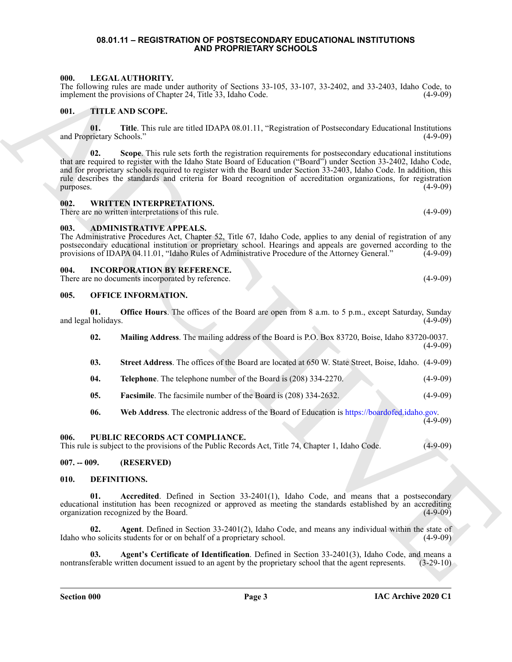#### <span id="page-2-0"></span>**08.01.11 – REGISTRATION OF POSTSECONDARY EDUCATIONAL INSTITUTIONS AND PROPRIETARY SCHOOLS**

### <span id="page-2-16"></span><span id="page-2-1"></span>**000. LEGAL AUTHORITY.**

### <span id="page-2-18"></span><span id="page-2-2"></span>**001. TITLE AND SCOPE.**

### <span id="page-2-19"></span><span id="page-2-3"></span>**002. WRITTEN INTERPRETATIONS.**

### <span id="page-2-10"></span><span id="page-2-4"></span>**003. ADMINISTRATIVE APPEALS.**

#### <span id="page-2-15"></span><span id="page-2-5"></span>**004. INCORPORATION BY REFERENCE.**

#### <span id="page-2-17"></span><span id="page-2-6"></span>**005. OFFICE INFORMATION.**

|  | 000.                      |              | LEGAL AUTHORITY.<br>The following rules are made under authority of Sections 33-105, 33-107, 33-2402, and 33-2403, Idaho Code, to<br>implement the provisions of Chapter 24, Title 33, Idaho Code.                                                                                                                                                                                                                                                                     | $(4-9-09)$  |
|--|---------------------------|--------------|------------------------------------------------------------------------------------------------------------------------------------------------------------------------------------------------------------------------------------------------------------------------------------------------------------------------------------------------------------------------------------------------------------------------------------------------------------------------|-------------|
|  | 001.                      |              | TITLE AND SCOPE.                                                                                                                                                                                                                                                                                                                                                                                                                                                       |             |
|  | and Proprietary Schools." | 01.          | Title. This rule are titled IDAPA 08.01.11, "Registration of Postsecondary Educational Institutions                                                                                                                                                                                                                                                                                                                                                                    | $(4-9-09)$  |
|  | purposes.                 | 02.          | Scope. This rule sets forth the registration requirements for postsecondary educational institutions<br>that are required to register with the Idaho State Board of Education ("Board") under Section 33-2402, Idaho Code,<br>and for proprietary schools required to register with the Board under Section 33-2403, Idaho Code. In addition, this<br>rule describes the standards and criteria for Board recognition of accreditation organizations, for registration | $(4-9-09)$  |
|  | 002.                      |              | <b>WRITTEN INTERPRETATIONS.</b><br>There are no written interpretations of this rule.                                                                                                                                                                                                                                                                                                                                                                                  | $(4-9-09)$  |
|  | 003.                      |              | <b>ADMINISTRATIVE APPEALS.</b><br>The Administrative Procedures Act, Chapter 52, Title 67, Idaho Code, applies to any denial of registration of any<br>postsecondary educational institution or proprietary school. Hearings and appeals are governed according to the<br>provisions of IDAPA 04.11.01, "Idaho Rules of Administrative Procedure of the Attorney General."                                                                                             | $(4-9-09)$  |
|  | 004.                      |              | <b>INCORPORATION BY REFERENCE.</b><br>There are no documents incorporated by reference.                                                                                                                                                                                                                                                                                                                                                                                | $(4-9-09)$  |
|  | 005.                      |              | <b>OFFICE INFORMATION.</b>                                                                                                                                                                                                                                                                                                                                                                                                                                             |             |
|  | and legal holidays.       | 01.          | <b>Office Hours</b> . The offices of the Board are open from 8 a.m. to 5 p.m., except Saturday, Sunday                                                                                                                                                                                                                                                                                                                                                                 | $(4-9-09)$  |
|  |                           | 02.          | Mailing Address. The mailing address of the Board is P.O. Box 83720, Boise, Idaho 83720-0037.                                                                                                                                                                                                                                                                                                                                                                          | $(4-9-09)$  |
|  |                           | 03.          | Street Address. The offices of the Board are located at 650 W. State Street, Boise, Idaho. (4-9-09)                                                                                                                                                                                                                                                                                                                                                                    |             |
|  |                           | 04.          | <b>Telephone.</b> The telephone number of the Board is (208) 334-2270.                                                                                                                                                                                                                                                                                                                                                                                                 | $(4-9-09)$  |
|  |                           | 05.          | Facsimile. The facsimile number of the Board is (208) 334-2632.                                                                                                                                                                                                                                                                                                                                                                                                        | $(4-9-09)$  |
|  |                           | 06.          | Web Address. The electronic address of the Board of Education is https://boardofed.idaho.gov.                                                                                                                                                                                                                                                                                                                                                                          | $(4-9-09)$  |
|  | 006.                      |              | PUBLIC RECORDS ACT COMPLIANCE.<br>This rule is subject to the provisions of the Public Records Act, Title 74, Chapter 1, Idaho Code.                                                                                                                                                                                                                                                                                                                                   | $(4-9-09)$  |
|  | $007. - 009.$             |              | (RESERVED)                                                                                                                                                                                                                                                                                                                                                                                                                                                             |             |
|  | 010.                      | DEFINITIONS. |                                                                                                                                                                                                                                                                                                                                                                                                                                                                        |             |
|  |                           | 01.          | Accredited. Defined in Section 33-2401(1), Idaho Code, and means that a postsecondary<br>educational institution has been recognized or approved as meeting the standards established by an accrediting<br>organization recognized by the Board.                                                                                                                                                                                                                       | $(4-9-09)$  |
|  |                           | 02.          | Agent. Defined in Section 33-2401(2), Idaho Code, and means any individual within the state of<br>Idaho who solicits students for or on behalf of a proprietary school.                                                                                                                                                                                                                                                                                                | $(4-9-09)$  |
|  |                           | 03.          | Agent's Certificate of Identification. Defined in Section 33-2401(3), Idaho Code, and means a<br>nontransferable written document issued to an agent by the proprietary school that the agent represents.                                                                                                                                                                                                                                                              | $(3-29-10)$ |
|  |                           |              |                                                                                                                                                                                                                                                                                                                                                                                                                                                                        |             |

#### <span id="page-2-8"></span><span id="page-2-7"></span>**007. -- 009. (RESERVED)**

#### <span id="page-2-14"></span><span id="page-2-13"></span><span id="page-2-12"></span><span id="page-2-11"></span><span id="page-2-9"></span>**010. DEFINITIONS.**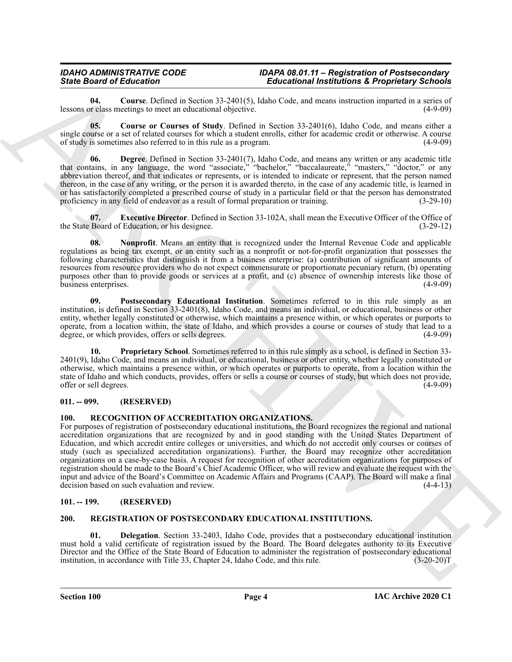<span id="page-3-4"></span>**04. Course**. Defined in Section 33-2401(5), Idaho Code, and means instruction imparted in a series of lessons or class meetings to meet an educational objective.

<span id="page-3-5"></span>**05. Course or Courses of Study**. Defined in Section 33-2401(6), Idaho Code, and means either a single course or a set of related courses for which a student enrolls, either for academic credit or otherwise. A course of study is sometimes also referred to in this rule as a program. (4-9-09)

<span id="page-3-6"></span>**06. Degree**. Defined in Section 33-2401(7), Idaho Code, and means any written or any academic title that contains, in any language, the word "associate," "bachelor," "baccalaureate," "masters," "doctor," or any abbreviation thereof, and that indicates or represents, or is intended to indicate or represent, that the person named thereon, in the case of any writing, or the person it is awarded thereto, in the case of any academic title, is learned in or has satisfactorily completed a prescribed course of study in a particular field or that the person has demonstrated proficiency in any field of endeavor as a result of formal preparation or training. (3-29-10) proficiency in any field of endeavor as a result of formal preparation or training.

<span id="page-3-7"></span>**07. Executive Director**. Defined in Section 33-102A, shall mean the Executive Officer of the Office of the State Board of Education, or his designee. (3-29-12)

<span id="page-3-8"></span>**08. Nonprofit**. Means an entity that is recognized under the Internal Revenue Code and applicable regulations as being tax exempt, or an entity such as a nonprofit or not-for-profit organization that possesses the following characteristics that distinguish it from a business enterprise: (a) contribution of significant amounts of resources from resource providers who do not expect commensurate or proportionate pecuniary return, (b) operating purposes other than to provide goods or services at a profit, and (c) absence of ownership interests like those of business enterprises.

<span id="page-3-9"></span>**09. Postsecondary Educational Institution**. Sometimes referred to in this rule simply as an institution, is defined in Section 33-2401(8), Idaho Code, and means an individual, or educational, business or other entity, whether legally constituted or otherwise, which maintains a presence within, or which operates or purports to operate, from a location within, the state of Idaho, and which provides a course or courses of study that lead to a degree, or which provides, offers or sells degrees. (4-9-09)

<span id="page-3-10"></span>**10. Proprietary School**. Sometimes referred to in this rule simply as a school, is defined in Section 33- 2401(9), Idaho Code, and means an individual, or educational, business or other entity, whether legally constituted or otherwise, which maintains a presence within, or which operates or purports to operate, from a location within the state of Idaho and which conducts, provides, offers or sells a course or courses of study, but which does not provide, offer or sell degrees.

#### <span id="page-3-0"></span>**011. -- 099. (RESERVED)**

#### <span id="page-3-11"></span><span id="page-3-1"></span>**100. RECOGNITION OF ACCREDITATION ORGANIZATIONS.**

Since Brazil entities and the Section 17.4901)3. Interdependent and the section of the section of the section of the section of the section of the section of the section of the section of the section of the section of the For purposes of registration of postsecondary educational institutions, the Board recognizes the regional and national accreditation organizations that are recognized by and in good standing with the United States Department of Education, and which accredit entire colleges or universities, and which do not accredit only courses or courses of study (such as specialized accreditation organizations). Further, the Board may recognize other accreditation organizations on a case-by-case basis. A request for recognition of other accreditation organizations for purposes of registration should be made to the Board's Chief Academic Officer, who will review and evaluate the request with the input and advice of the Board's Committee on Academic Affairs and Programs (CAAP). The Board will make a final decision based on such evaluation and review. (4-4-13)

#### <span id="page-3-2"></span>**101. -- 199. (RESERVED)**

#### <span id="page-3-13"></span><span id="page-3-12"></span><span id="page-3-3"></span>**200. REGISTRATION OF POSTSECONDARY EDUCATIONAL INSTITUTIONS.**

<span id="page-3-14"></span>**01. Delegation**. Section 33-2403, Idaho Code, provides that a postsecondary educational institution must hold a valid certificate of registration issued by the Board. The Board delegates authority to its Executive Director and the Office of the State Board of Education to administer the registration of postsecondary educational institution, in accordance with Title 33, Chapter 24, Idaho Code, and this rule. (3-20-20)T institution, in accordance with Title 33, Chapter 24, Idaho Code, and this rule.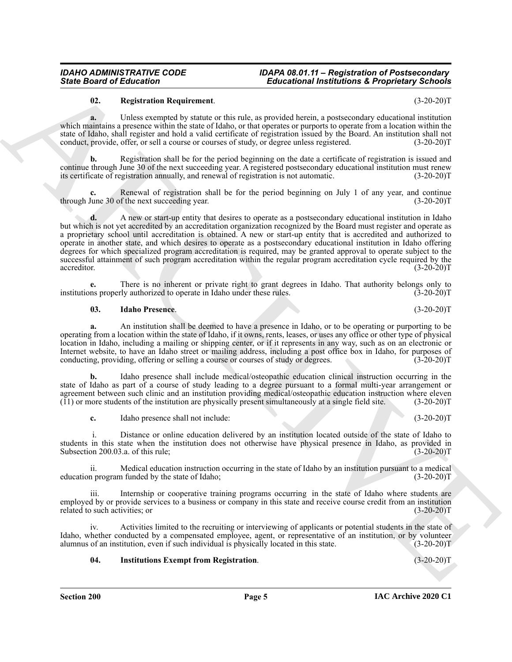#### <span id="page-4-2"></span>**02. Registration Requirement**. (3-20-20)T

**a.** Unless exempted by statute or this rule, as provided herein, a postsecondary educational institution which maintains a presence within the state of Idaho, or that operates or purports to operate from a location within the state of Idaho, shall register and hold a valid certificate of registration issued by the Board. An institution shall not conduct, provide, offer, or sell a course or courses of study, or degree unless registered. (3-20-20)T

**b.** Registration shall be for the period beginning on the date a certificate of registration is issued and continue through June 30 of the next succeeding year. A registered postsecondary educational institution must renew its certificate of registration annually, and renewal of registration is not automatic. (3-20-20)T

Renewal of registration shall be for the period beginning on July 1 of any year, and continue f the next succeeding year. (3-20-20)<sup>T</sup> through June 30 of the next succeeding year.

Since Board of Elistophema <br>
Reachesion and the state and the state and the state and the state and the state and the state and the state and the state and the state and the state and the state and the state and the state **d.** A new or start-up entity that desires to operate as a postsecondary educational institution in Idaho but which is not yet accredited by an accreditation organization recognized by the Board must register and operate as a proprietary school until accreditation is obtained. A new or start-up entity that is accredited and authorized to operate in another state, and which desires to operate as a postsecondary educational institution in Idaho offering degrees for which specialized program accreditation is required, may be granted approval to operate subject to the successful attainment of such program accreditation within the regular program accreditation cycle required by the accreditor. (3-20-20)T accreditor. (3-20-20)T

**e.** There is no inherent or private right to grant degrees in Idaho. That authority belongs only to ms properly authorized to operate in Idaho under these rules. (3-20-20) institutions properly authorized to operate in Idaho under these rules.

#### <span id="page-4-0"></span>**03. Idaho Presence**. (3-20-20)T

**a.** An institution shall be deemed to have a presence in Idaho, or to be operating or purporting to be operating from a location within the state of Idaho, if it owns, rents, leases, or uses any office or other type of physical location in Idaho, including a mailing or shipping center, or if it represents in any way, such as on an electronic or Internet website, to have an Idaho street or mailing address, including a post office box in Idaho, for purposes of conducting, providing, offering or selling a course or courses of study or degrees. (3-20-20)T

**b.** Idaho presence shall include medical/osteopathic education clinical instruction occurring in the state of Idaho as part of a course of study leading to a degree pursuant to a formal multi-year arrangement or agreement between such clinic and an institution providing medical/osteopathic education instruction where eleven (11) or more students of the institution are physically present simultaneously at a single field site. (3-20  $(11)$  or more students of the institution are physically present simultaneously at a single field site.

**c.** Idaho presence shall not include: (3-20-20)T

 i. Distance or online education delivered by an institution located outside of the state of Idaho to students in this state when the institution does not otherwise have physical presence in Idaho, as provided in Subsection 200.03.a. of this rule; (3-20-20)T

ii. Medical education instruction occurring in the state of Idaho by an institution pursuant to a medical<br>n program funded by the state of Idaho; (3-20-20) education program funded by the state of Idaho;

iii. Internship or cooperative training programs occurring in the state of Idaho where students are employed by or provide services to a business or company in this state and receive course credit from an institution related to such activities; or  $(3-20-20)$ related to such activities; or

Activities limited to the recruiting or interviewing of applicants or potential students in the state of Idaho, whether conducted by a compensated employee, agent, or representative of an institution, or by volunteer alumnus of an institution, even if such individual is physically located in this state. (3-20-20)T

#### <span id="page-4-1"></span>**04. Institutions Exempt from Registration**. (3-20-20)T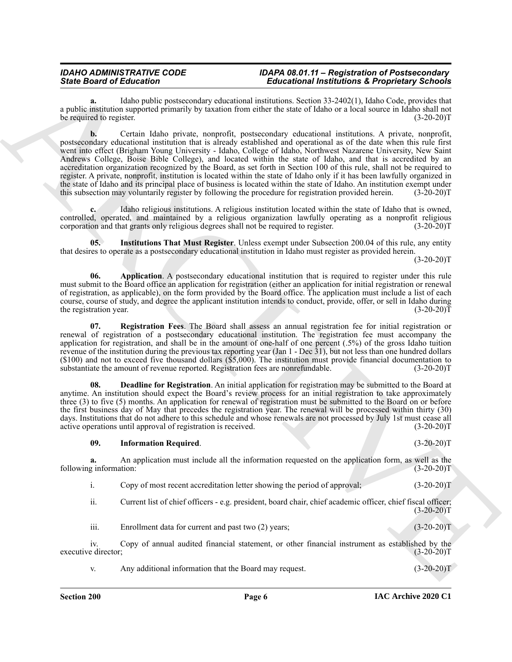**a.** Idaho public postsecondary educational institutions. Section 33-2402(1), Idaho Code, provides that a public institution supported primarily by taxation from either the state of Idaho or a local source in Idaho shall not<br>(3-20-20)T be required to register.

Since Board of Education in the Education of the Education of the Education 2013 (1942) and the Education Section 2013 (1942) and the Education 2013 (1942) and the Education 2013 (1942) and the Education 2013 (1942) and t **b.** Certain Idaho private, nonprofit, postsecondary educational institutions. A private, nonprofit, postsecondary educational institution that is already established and operational as of the date when this rule first went into effect (Brigham Young University - Idaho, College of Idaho, Northwest Nazarene University, New Saint Andrews College, Boise Bible College), and located within the state of Idaho, and that is accredited by an accreditation organization recognized by the Board, as set forth in Section 100 of this rule, shall not be required to register. A private, nonprofit, institution is located within the state of Idaho only if it has been lawfully organized in the state of Idaho and its principal place of business is located within the state of Idaho. An institution exempt under this subsection may voluntarily register by following the procedure for registration provided herein. this subsection may voluntarily register by following the procedure for registration provided herein.

**c.** Idaho religious institutions. A religious institution located within the state of Idaho that is owned, controlled, operated, and maintained by a religious organization lawfully operating as a nonprofit religious corporation and that grants only religious degrees shall not be required to register. (3-20-20) corporation and that grants only religious degrees shall not be required to register.

<span id="page-5-3"></span>**05. Institutions That Must Register**. Unless exempt under Subsection 200.04 of this rule, any entity that desires to operate as a postsecondary educational institution in Idaho must register as provided herein.  $(3-20-20)T$ 

<span id="page-5-0"></span>**06. Application**. A postsecondary educational institution that is required to register under this rule must submit to the Board office an application for registration (either an application for initial registration or renewal of registration, as applicable), on the form provided by the Board office. The application must include a list of each course, course of study, and degree the applicant institution intends to conduct, provide, offer, or sell in Idaho during<br>(3-20-20) the registration year.

<span id="page-5-4"></span>**07. Registration Fees**. The Board shall assess an annual registration fee for initial registration or renewal of registration of a postsecondary educational institution. The registration fee must accompany the application for registration, and shall be in the amount of one-half of one percent (.5%) of the gross Idaho tuition revenue of the institution during the previous tax reporting year (Jan 1 - Dec 31), but not less than one hundred dollars  $(100)$  and not to exceed five thousand dollars  $(\$5,000)$ . The institution must provide financial documentation to substantiate the amount of revenue reported. Registration fees are nonrefundable.  $(3-20-20)$ substantiate the amount of revenue reported. Registration fees are nonrefundable.

<span id="page-5-1"></span>**08. Deadline for Registration**. An initial application for registration may be submitted to the Board at anytime. An institution should expect the Board's review process for an initial registration to take approximately three (3) to five (5) months. An application for renewal of registration must be submitted to the Board on or before the first business day of May that precedes the registration year. The renewal will be processed within thirty (30) days. Institutions that do not adhere to this schedule and whose renewals are not processed by July 1st must cease all active operations until approval of registration is received. (3-20-20) active operations until approval of registration is received.

#### <span id="page-5-2"></span>**09. Information Required**. (3-20-20)T

**a.** An application must include all the information requested on the application form, as well as the g information:  $(3-20-20)T$ following information:

i. Copy of most recent accreditation letter showing the period of approval; (3-20-20)T

ii. Current list of chief officers - e.g. president, board chair, chief academic officer, chief fiscal officer;  $(3-20-20)T$ 

iii. Enrollment data for current and past two (2) years; (3-20-20)T

iv. Copy of annual audited financial statement, or other financial instrument as established by the e director; (3-20-20) executive director;

v. Any additional information that the Board may request. (3-20-20)T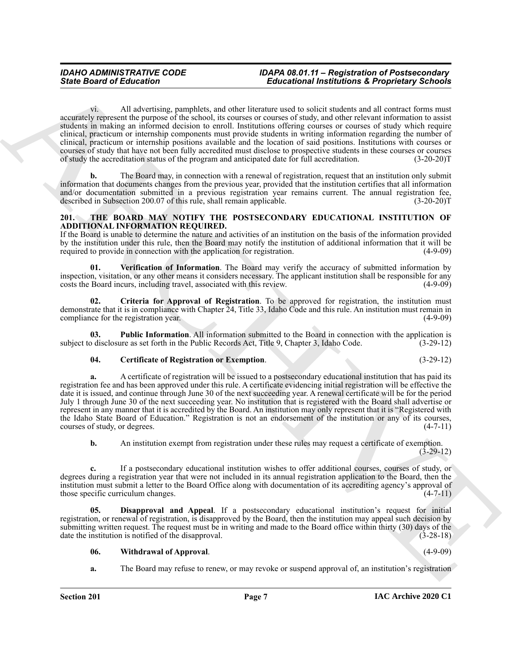vi. All advertising, pamphlets, and other literature used to solicit students and all contract forms must accurately represent the purpose of the school, its courses or courses of study, and other relevant information to assist students in making an informed decision to enroll. Institutions offering courses or courses of study which require clinical, practicum or internship components must provide students in writing information regarding the number of clinical, practicum or internship positions available and the location of said positions. Institutions with courses or courses of study that have not been fully accredited must disclose to prospective students in these courses or courses of study the accreditation status of the program and anticipated date for full accreditation. (3-20-20)T

**b.** The Board may, in connection with a renewal of registration, request that an institution only submit information that documents changes from the previous year, provided that the institution certifies that all information and/or documentation submitted in a previous registration year remains current. The annual registration fee, described in Subsection 200.07 of this rule, shall remain applicable. (3-20-20) described in Subsection 200.07 of this rule, shall remain applicable.

#### <span id="page-6-1"></span><span id="page-6-0"></span>**201. THE BOARD MAY NOTIFY THE POSTSECONDARY EDUCATIONAL INSTITUTION OF ADDITIONAL INFORMATION REQUIRED.**

If the Board is unable to determine the nature and activities of an institution on the basis of the information provided by the institution under this rule, then the Board may notify the institution of additional information that it will be required to provide in connection with the application for registration. (4-9-09)

<span id="page-6-6"></span>**01. Verification of Information**. The Board may verify the accuracy of submitted information by inspection, visitation, or any other means it considers necessary. The applicant institution shall be responsible for any costs the Board incurs, including travel, associated with this review.

<span id="page-6-3"></span>**02. Criteria for Approval of Registration**. To be approved for registration, the institution must demonstrate that it is in compliance with Chapter  $\tilde{2}4$ , Title 33, Idaho Code and this rule. An institution must remain in compliance for the registration year. (4-9-09) compliance for the registration year.

**Public Information**. All information submitted to the Board in connection with the application is are as set forth in the Public Records Act, Title 9, Chapter 3, Idaho Code. (3-29-12) subject to disclosure as set forth in the Public Records Act, Title 9, Chapter 3, Idaho Code.

#### <span id="page-6-5"></span><span id="page-6-2"></span>**04. Certificate of Registration or Exemption**. (3-29-12)

Since Board of Entremporal computers. The Entremotion and total state interesting and the entrepotential and the entrepotential and the entrepotential and the entrepotential and the entrepotential and the entrepotential a **a.** A certificate of registration will be issued to a postsecondary educational institution that has paid its registration fee and has been approved under this rule. A certificate evidencing initial registration will be effective the date it is issued, and continue through June 30 of the next succeeding year. A renewal certificate will be for the period July 1 through June 30 of the next succeeding year. No institution that is registered with the Board shall advertise or represent in any manner that it is accredited by the Board. An institution may only represent that it is "Registered with the Idaho State Board of Education." Registration is not an endorsement of the institution or any of its courses, courses of study, or degrees.  $(4-7-11)$ courses of study, or degrees.

**b.** An institution exempt from registration under these rules may request a certificate of exemption. (3-29-12)

**c.** If a postsecondary educational institution wishes to offer additional courses, courses of study, or degrees during a registration year that were not included in its annual registration application to the Board, then the institution must submit a letter to the Board Office along with documentation of its accrediting agency's approval of those specific curriculum changes. (4-7-11)

**05. Disapproval and Appeal**. If a postsecondary educational institution's request for initial registration, or renewal of registration, is disapproved by the Board, then the institution may appeal such decision by submitting written request. The request must be in writing and made to the Board office within thirty (30) days of the date the institution is notified of the disapproval. (3-28-18)

#### <span id="page-6-7"></span><span id="page-6-4"></span>**06. Withdrawal of Approval**. (4-9-09)

**a.** The Board may refuse to renew, or may revoke or suspend approval of, an institution's registration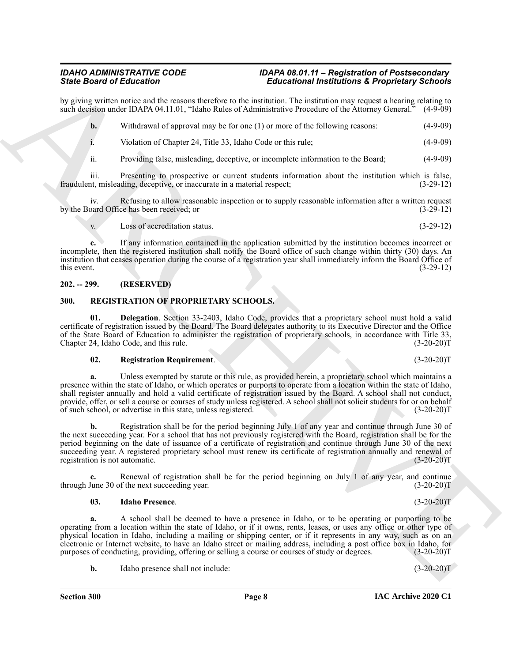by giving written notice and the reasons therefore to the institution. The institution may request a hearing relating to such decision under IDAPA 04.11.01, "Idaho Rules of Administrative Procedure of the Attorney General. such decision under IDAPA 04.11.01, "Idaho Rules of Administrative Procedure of the Attorney General."

**b.** Withdrawal of approval may be for one (1) or more of the following reasons: (4-9-09)

i. Violation of Chapter 24, Title 33, Idaho Code or this rule; (4-9-09)

ii. Providing false, misleading, deceptive, or incomplete information to the Board; (4-9-09)

iii. Presenting to prospective or current students information about the institution which is false, t, misleading, deceptive, or inaccurate in a material respect; (3-29-12) fraudulent, misleading, deceptive, or inaccurate in a material respect;

iv. Refusing to allow reasonable inspection or to supply reasonable information after a written request by the Board Office has been received; or (3-29-12)

v. Loss of accreditation status. (3-29-12)

**c.** If any information contained in the application submitted by the institution becomes incorrect or incomplete, then the registered institution shall notify the Board office of such change within thirty (30) days. An institution that ceases operation during the course of a registration year shall immediately inform the Board Office of this event.  $(3-29-12)$ 

#### <span id="page-7-0"></span>**202. -- 299. (RESERVED)**

#### <span id="page-7-2"></span><span id="page-7-1"></span>**300. REGISTRATION OF PROPRIETARY SCHOOLS.**

**01. Delegation**. Section 33-2403, Idaho Code, provides that a proprietary school must hold a valid certificate of registration issued by the Board. The Board delegates authority to its Executive Director and the Office of the State Board of Education to administer the registration of proprietary schools, in accordance with Title 33, Chapter 24, Idaho Code, and this rule.

#### <span id="page-7-5"></span><span id="page-7-3"></span>**02. Registration Requirement**. (3-20-20)T

Since Brackwater Scholars (and European Controller Scholars (and European Controller Scholars (1940)<br>
And the state of the Controller Scholars (and European Controller Scholars (and European Controller Scholars (4.49%)<br>
4 **a.** Unless exempted by statute or this rule, as provided herein, a proprietary school which maintains a presence within the state of Idaho, or which operates or purports to operate from a location within the state of Idaho, shall register annually and hold a valid certificate of registration issued by the Board. A school shall not conduct, provide, offer, or sell a course or courses of study unless registered. A school shall not solicit students for or on behalf of such school, or advertise in this state, unless registered. (3-20-20)T

**b.** Registration shall be for the period beginning July 1 of any year and continue through June 30 of the next succeeding year. For a school that has not previously registered with the Board, registration shall be for the period beginning on the date of issuance of a certificate of registration and continue through June 30 of the next succeeding year. A registered proprietary school must renew its certificate of registration annually and renewal of registration is not automatic. (3-20-20) registration is not automatic.

**c.** Renewal of registration shall be for the period beginning on July 1 of any year, and continue June 30 of the next succeeding year. (3-20-20) through June 30 of the next succeeding year.

#### <span id="page-7-4"></span>**03. Idaho Presence**. (3-20-20)T

**a.** A school shall be deemed to have a presence in Idaho, or to be operating or purporting to be operating from a location within the state of Idaho, or if it owns, rents, leases, or uses any office or other type of physical location in Idaho, including a mailing or shipping center, or if it represents in any way, such as on an electronic or Internet website, to have an Idaho street or mailing address, including a post office box in Idaho, for purposes of conducting, providing, offering or selling a course or courses of study or degrees. (3-20-20)T

**b.** Idaho presence shall not include: (3-20-20)T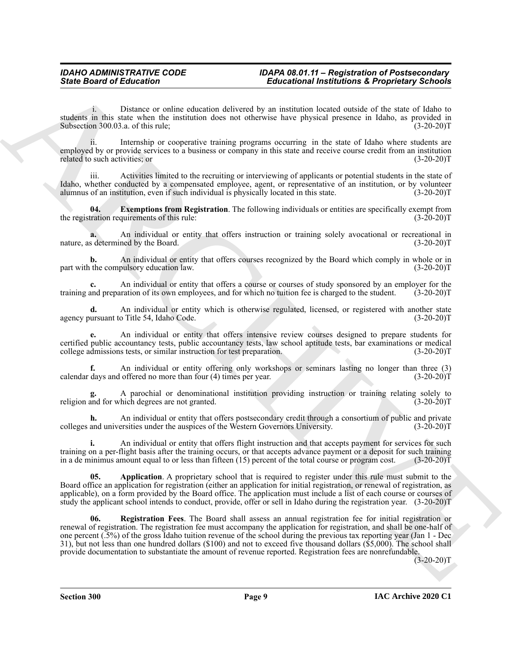i. Distance or online education delivered by an institution located outside of the state of Idaho to students in this state when the institution does not otherwise have physical presence in Idaho, as provided in Subsection 300.03.a. of this rule; (3-20-20) Subsection 300.03.a. of this rule;

ii. Internship or cooperative training programs occurring in the state of Idaho where students are employed by or provide services to a business or company in this state and receive course credit from an institution related to such activities; or (3-20-20)T

Activities limited to the recruiting or interviewing of applicants or potential students in the state of Idaho, whether conducted by a compensated employee, agent, or representative of an institution, or by volunteer alumnus of an institution, even if such individual is physically located in this state. (3-20-20)T alumnus of an institution, even if such individual is physically located in this state.

<span id="page-8-1"></span>**04. Exemptions from Registration**. The following individuals or entities are specifically exempt from the registration requirements of this rule: (3-20-20)T

**a.** An individual or entity that offers instruction or training solely avocational or recreational in s determined by the Board. (3-20-20) nature, as determined by the Board.

**b.** An individual or entity that offers courses recognized by the Board which comply in whole or in the compulsory education law.  $(3-20-20)T$ part with the compulsory education law.

**c.** An individual or entity that offers a course or courses of study sponsored by an employer for the and preparation of its own employees, and for which no tuition fee is charged to the student. (3-20-20)T training and preparation of its own employees, and for which no tuition fee is charged to the student.

**d.** An individual or entity which is otherwise regulated, licensed, or registered with another state ursuant to Title 54, Idaho Code.  $(3-20-20)$ T agency pursuant to Title 54, Idaho Code.

**e.** An individual or entity that offers intensive review courses designed to prepare students for certified public accountancy tests, public accountancy tests, law school aptitude tests, bar examinations or medical college admissions tests, or similar instruction for test preparation. (3-20-20) college admissions tests, or similar instruction for test preparation.

**f.** An individual or entity offering only workshops or seminars lasting no longer than three (3) calendar days and offered no more than four (4) times per year. (3-20-20)T

A parochial or denominational institution providing instruction or training relating solely to thich degrees are not granted. (3-20-20)<sup>T</sup> religion and for which degrees are not granted.

An individual or entity that offers postsecondary credit through a consortium of public and private ersities under the auspices of the Western Governors University. (3-20-20)<sup>T</sup> colleges and universities under the auspices of the Western Governors University.

**i.** An individual or entity that offers flight instruction and that accepts payment for services for such training on a per-flight basis after the training occurs, or that accepts advance payment or a deposit for such training in a de minimus amount equal to or less than fifteen (15) percent of the total course or program cost.  $(3-20-20)\bar{T}$ 

<span id="page-8-2"></span><span id="page-8-0"></span>**05. Application**. A proprietary school that is required to register under this rule must submit to the Board office an application for registration (either an application for initial registration, or renewal of registration, as applicable), on a form provided by the Board office. The application must include a list of each course or courses of study the applicant school intends to conduct, provide, offer or sell in Idaho during the registration year. (3-20-20)T

Since Board of Entremotion Control in the Entrepotition of Propries of School<br>
and the same of the same school and the same school and the same school and the same school and the same school and the same school and the sa **06. Registration Fees**. The Board shall assess an annual registration fee for initial registration or renewal of registration. The registration fee must accompany the application for registration, and shall be one-half of one percent (.5%) of the gross Idaho tuition revenue of the school during the previous tax reporting year (Jan 1 - Dec 31), but not less than one hundred dollars (\$100) and not to exceed five thousand dollars (\$5,000). The school shall provide documentation to substantiate the amount of revenue reported. Registration fees are nonrefundable.

 $(3-20-20)T$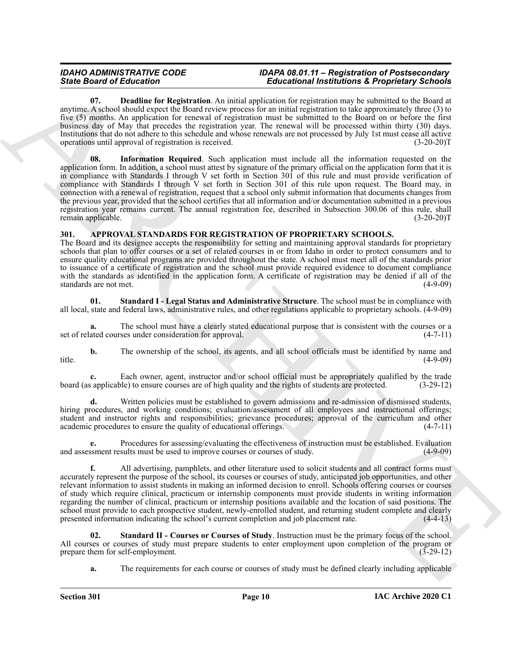<span id="page-9-5"></span><span id="page-9-4"></span>**07. Deadline for Registration**. An initial application for registration may be submitted to the Board at anytime. A school should expect the Board review process for an initial registration to take approximately three (3) to five (5) months. An application for renewal of registration must be submitted to the Board on or before the first business day of May that precedes the registration year. The renewal will be processed within thirty (30) days. Institutions that do not adhere to this schedule and whose renewals are not processed by July 1st must cease all active operations until approval of registration is received. (3-20-20)T

Since Boston of Education for the state of Education in the internal state for the state of the state of the state of the state of the state of the state of the state of the state of the state of the state of the state of **08. Information Required**. Such application must include all the information requested on the application form. In addition, a school must attest by signature of the primary official on the application form that it is in compliance with Standards I through V set forth in Section 301 of this rule and must provide verification of compliance with Standards I through V set forth in Section 301 of this rule upon request. The Board may, in connection with a renewal of registration, request that a school only submit information that documents changes from the previous year, provided that the school certifies that all information and/or documentation submitted in a previous registration year remains current. The annual registration fee, described in Subsection 300.06 of this rule, shall remain applicable. (3-20-20)T

### <span id="page-9-1"></span><span id="page-9-0"></span>**301. APPROVAL STANDARDS FOR REGISTRATION OF PROPRIETARY SCHOOLS.**

The Board and its designee accepts the responsibility for setting and maintaining approval standards for proprietary schools that plan to offer courses or a set of related courses in or from Idaho in order to protect consumers and to ensure quality educational programs are provided throughout the state. A school must meet all of the standards prior to issuance of a certificate of registration and the school must provide required evidence to document compliance with the standards as identified in the application form. A certificate of registration may be denied if all of the standards are not met. (4-9-09) standards are not met.

<span id="page-9-2"></span>**01. Standard I - Legal Status and Administrative Structure**. The school must be in compliance with all local, state and federal laws, administrative rules, and other regulations applicable to proprietary schools. (4-9-09)

**a.** The school must have a clearly stated educational purpose that is consistent with the courses or a ated courses under consideration for approval.  $(4-7-11)$ set of related courses under consideration for approval.

**b.** The ownership of the school, its agents, and all school officials must be identified by name and (4-9-09) title. (4-9-09)

**c.** Each owner, agent, instructor and/or school official must be appropriately qualified by the trade is applicable) to ensure courses are of high quality and the rights of students are protected. (3-29-12) board (as applicable) to ensure courses are of high quality and the rights of students are protected.

Written policies must be established to govern admissions and re-admission of dismissed students, hiring procedures, and working conditions; evaluation/assessment of all employees and instructional offerings; student and instructor rights and responsibilities; grievance procedures; approval of the curriculum and other academic procedures to ensure the quality of educational offerings. (4-7-11) academic procedures to ensure the quality of educational offerings.

**e.** Procedures for assessing/evaluating the effectiveness of instruction must be established. Evaluation and assessment results must be used to improve courses or courses of study. (4-9-09)

**f.** All advertising, pamphlets, and other literature used to solicit students and all contract forms must accurately represent the purpose of the school, its courses or courses of study, anticipated job opportunities, and other relevant information to assist students in making an informed decision to enroll. Schools offering courses or courses of study which require clinical, practicum or internship components must provide students in writing information regarding the number of clinical, practicum or internship positions available and the location of said positions. The school must provide to each prospective student, newly-enrolled student, and returning student complete and clearly presented information indicating the school's current completion and job placement rate. (4-4-13) presented information indicating the school's current completion and job placement rate.

**02. Standard II - Courses or Courses of Study**. Instruction must be the primary focus of the school. All courses or courses of study must prepare students to enter employment upon completion of the program or prepare them for self-employment. (3-29-12) prepare them for self-employment.

<span id="page-9-3"></span>**a.** The requirements for each course or courses of study must be defined clearly including applicable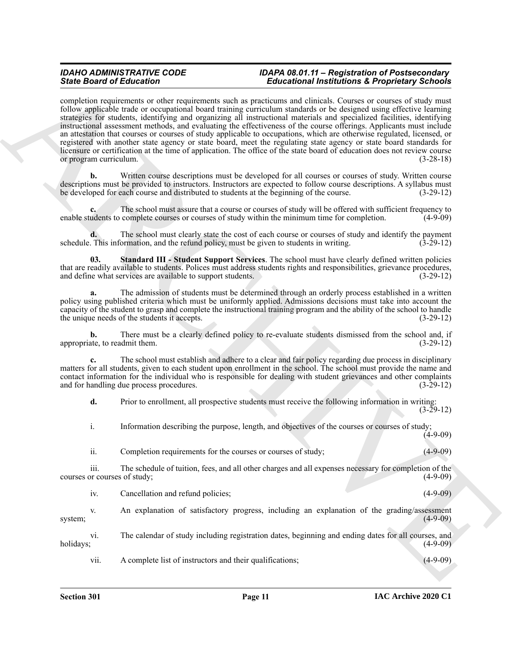Sink Book of Editorial one of the Christian II and the Christian II and the Christian II and the Christian II and the Christian II and the Christian II and the Christian II and the Christian II and the Christian II and th completion requirements or other requirements such as practicums and clinicals. Courses or courses of study must follow applicable trade or occupational board training curriculum standards or be designed using effective learning strategies for students, identifying and organizing all instructional materials and specialized facilities, identifying instructional assessment methods, and evaluating the effectiveness of the course offerings. Applicants must include an attestation that courses or courses of study applicable to occupations, which are otherwise regulated, licensed, or registered with another state agency or state board, meet the regulating state agency or state board standards for licensure or certification at the time of application. The office of the state board of education does not review course or program curriculum. (3-28-18)

**b.** Written course descriptions must be developed for all courses or courses of study. Written course descriptions must be provided to instructors. Instructors are expected to follow course descriptions. A syllabus must be developed for each course and distributed to students at the beginning of the course. (3-29-12)

**c.** The school must assure that a course or courses of study will be offered with sufficient frequency to enable students to complete courses or courses of study within the minimum time for completion. (4-9-09)

**d.** The school must clearly state the cost of each course or courses of study and identify the payment This information, and the refund policy, must be given to students in writing. (3-29-12) schedule. This information, and the refund policy, must be given to students in writing.

<span id="page-10-0"></span>**03. Standard III - Student Support Services**. The school must have clearly defined written policies that are readily available to students. Polices must address students rights and responsibilities, grievance procedures, and define what services are available to support students. (3-29-12) and define what services are available to support students.

**a.** The admission of students must be determined through an orderly process established in a written policy using published criteria which must be uniformly applied. Admissions decisions must take into account the capacity of the student to grasp and complete the instructional training program and the ability of the school to handle the unique needs of the students it accepts.

**b.** There must be a clearly defined policy to re-evaluate students dismissed from the school and, if ate, to readmit them. (3-29-12) appropriate, to readmit them.

**c.** The school must establish and adhere to a clear and fair policy regarding due process in disciplinary matters for all students, given to each student upon enrollment in the school. The school must provide the name and contact information for the individual who is responsible for dealing with student grievances and other complaints and for handling due process procedures. (3-29-12)

**d.** Prior to enrollment, all prospective students must receive the following information in writing:  $(3-29-12)$ 

i. Information describing the purpose, length, and objectives of the courses or courses of study;  $(4-9-09)$ 

ii. Completion requirements for the courses or courses of study; (4-9-09)

iii. The schedule of tuition, fees, and all other charges and all expenses necessary for completion of the courses or courses of study;

| 1V. | Cancellation and refund policies: |  |  |  |
|-----|-----------------------------------|--|--|--|
|     |                                   |  |  |  |

v. An explanation of satisfactory progress, including an explanation of the grading/assessment system; (4-9-09)

vi. The calendar of study including registration dates, beginning and ending dates for all courses, and holidays; (4-9-09)

vii. A complete list of instructors and their qualifications; (4-9-09)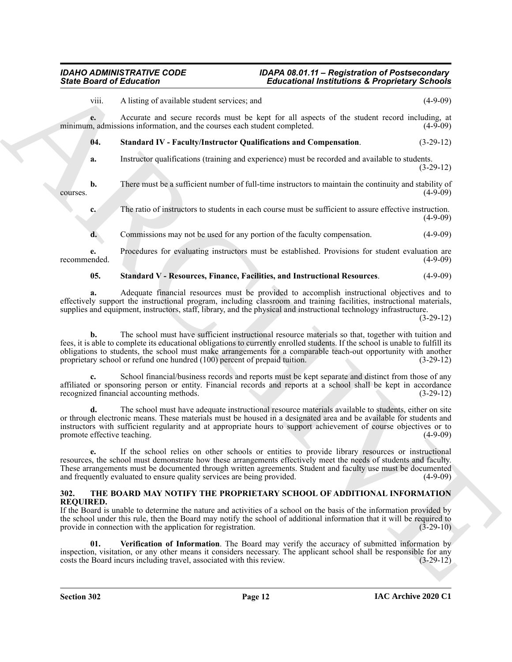<span id="page-11-1"></span>Since Board of Eclivation Constraints and the strength of the strength of the strength of the strength of the strength of the strength of the strength of the strength of the strength of the strength of the strength of the viii. A listing of available student services; and (4-9-09) **e.** Accurate and secure records must be kept for all aspects of the student record including, at n. admissions information, and the courses each student completed. (4-9-09) minimum, admissions information, and the courses each student completed. **04. Standard IV - Faculty/Instructor Qualifications and Compensation**. (3-29-12) **a.** Instructor qualifications (training and experience) must be recorded and available to students. (3-29-12) **b.** There must be a sufficient number of full-time instructors to maintain the continuity and stability of (4-9-09) courses. (4-9-09) **c.** The ratio of instructors to students in each course must be sufficient to assure effective instruction.  $(4-9-09)$ **d.** Commissions may not be used for any portion of the faculty compensation.  $(4-9-09)$ **e.** Procedures for evaluating instructors must be established. Provisions for student evaluation are recommended. (4-9-09) recommended. (4-9-09)

#### <span id="page-11-2"></span>**05. Standard V - Resources, Finance, Facilities, and Instructional Resources**. (4-9-09)

**a.** Adequate financial resources must be provided to accomplish instructional objectives and to effectively support the instructional program, including classroom and training facilities, instructional materials, supplies and equipment, instructors, staff, library, and the physical and instructional technology infrastructure.

(3-29-12)

**b.** The school must have sufficient instructional resource materials so that, together with tuition and fees, it is able to complete its educational obligations to currently enrolled students. If the school is unable to fulfill its obligations to students, the school must make arrangements for a comparable teach-out opportunity with another proprietary school or refund one hundred (100) percent of prepaid tuition. (3-29-12)

**c.** School financial/business records and reports must be kept separate and distinct from those of any affiliated or sponsoring person or entity. Financial records and reports at a school shall be kept in accordance recognized financial accounting methods. (3-29-12)

**d.** The school must have adequate instructional resource materials available to students, either on site or through electronic means. These materials must be housed in a designated area and be available for students and instructors with sufficient regularity and at appropriate hours to support achievement of course objectives or to promote effective teaching.

**e.** If the school relies on other schools or entities to provide library resources or instructional resources, the school must demonstrate how these arrangements effectively meet the needs of students and faculty. These arrangements must be documented through written agreements. Student and faculty use must be documented and frequently evaluated to ensure quality services are being provided. (4-9-09) and frequently evaluated to ensure quality services are being provided.

#### <span id="page-11-3"></span><span id="page-11-0"></span>**302. THE BOARD MAY NOTIFY THE PROPRIETARY SCHOOL OF ADDITIONAL INFORMATION REQUIRED.**

If the Board is unable to determine the nature and activities of a school on the basis of the information provided by the school under this rule, then the Board may notify the school of additional information that it will be required to provide in connection with the application for registration. (3-29-10)

<span id="page-11-4"></span>**01. Verification of Information**. The Board may verify the accuracy of submitted information by inspection, visitation, or any other means it considers necessary. The applicant school shall be responsible for any costs the Board incurs including travel, associated with this review. (3-29-12) costs the Board incurs including travel, associated with this review.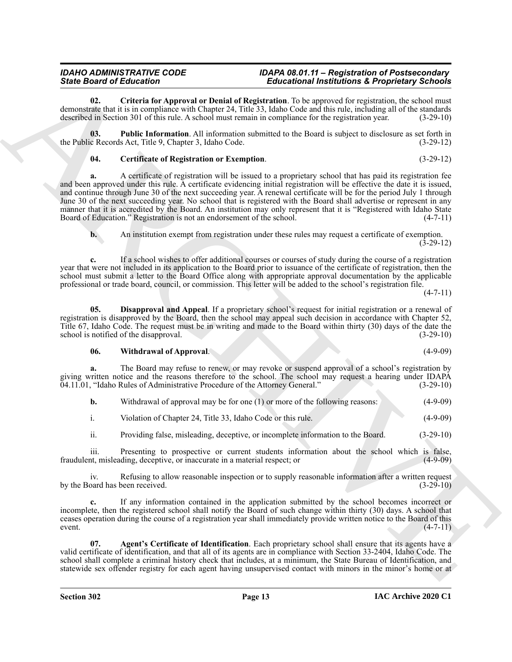<span id="page-12-2"></span>**02. Criteria for Approval or Denial of Registration**. To be approved for registration, the school must demonstrate that it is in compliance with Chapter 24, Title 33, Idaho Code and this rule, including all of the standards described in Section 301 of this rule. A school must remain in compliance for the registration year. (3-29-10)

**03. Public Information**. All information submitted to the Board is subject to disclosure as set forth in the Public Records Act, Title 9, Chapter 3, Idaho Code. (3-29-12)

<span id="page-12-4"></span><span id="page-12-1"></span>**04. Certificate of Registration or Exemption**. (3-29-12)

Since Brazilian of Holintoine Charles in Educational International Representation in the effect of the control of the state of the state of the state of the state of the state of the state of the state of the state of the **a.** A certificate of registration will be issued to a proprietary school that has paid its registration fee and been approved under this rule. A certificate evidencing initial registration will be effective the date it is issued, and continue through June 30 of the next succeeding year. A renewal certificate will be for the period July 1 through June 30 of the next succeeding year. No school that is registered with the Board shall advertise or represent in any manner that it is accredited by the Board. An institution may only represent that it is "Registered with Idaho State Board of Education." Registration is not an endorsement of the school. (4-7-11)

**b.** An institution exempt from registration under these rules may request a certificate of exemption. (3-29-12)

**c.** If a school wishes to offer additional courses or courses of study during the course of a registration year that were not included in its application to the Board prior to issuance of the certificate of registration, then the school must submit a letter to the Board Office along with appropriate approval documentation by the applicable professional or trade board, council, or commission. This letter will be added to the school's registration file.

 $(4-7-11)$ 

**05. Disapproval and Appeal**. If a proprietary school's request for initial registration or a renewal of registration is disapproved by the Board, then the school may appeal such decision in accordance with Chapter 52, Title 67, Idaho Code. The request must be in writing and made to the Board within thirty (30) days of the date the school is notified of the disapproval. (3-29-10) school is notified of the disapproval.

#### <span id="page-12-5"></span><span id="page-12-3"></span>**06. Withdrawal of Approval**. (4-9-09)

**a.** The Board may refuse to renew, or may revoke or suspend approval of a school's registration by giving written notice and the reasons therefore to the school. The school may request a hearing under IDAPA 04.11.01, "Idaho Rules of Administrative Procedure of the Attorney General." (3-29-10)

|  | Withdrawal of approval may be for one (1) or more of the following reasons: |  | $(4-9-09)$ |
|--|-----------------------------------------------------------------------------|--|------------|
|--|-----------------------------------------------------------------------------|--|------------|

i. Violation of Chapter 24, Title 33, Idaho Code or this rule. (4-9-09)

ii. Providing false, misleading, deceptive, or incomplete information to the Board. (3-29-10)

iii. Presenting to prospective or current students information about the school which is false, the misleading, deceptive, or inaccurate in a material respect; or (4-9-09) fraudulent, misleading, deceptive, or inaccurate in a material respect; or

iv. Refusing to allow reasonable inspection or to supply reasonable information after a written request by the Board has been received. (3-29-10)

**c.** If any information contained in the application submitted by the school becomes incorrect or incomplete, then the registered school shall notify the Board of such change within thirty (30) days. A school that ceases operation during the course of a registration year shall immediately provide written notice to the Board of this  $(4-7-11)$  (4-7-11)

<span id="page-12-0"></span>**07. Agent's Certificate of Identification**. Each proprietary school shall ensure that its agents have a valid certificate of identification, and that all of its agents are in compliance with Section 33-2404, Idaho Code. The school shall complete a criminal history check that includes, at a minimum, the State Bureau of Identification, and statewide sex offender registry for each agent having unsupervised contact with minors in the minor's home or at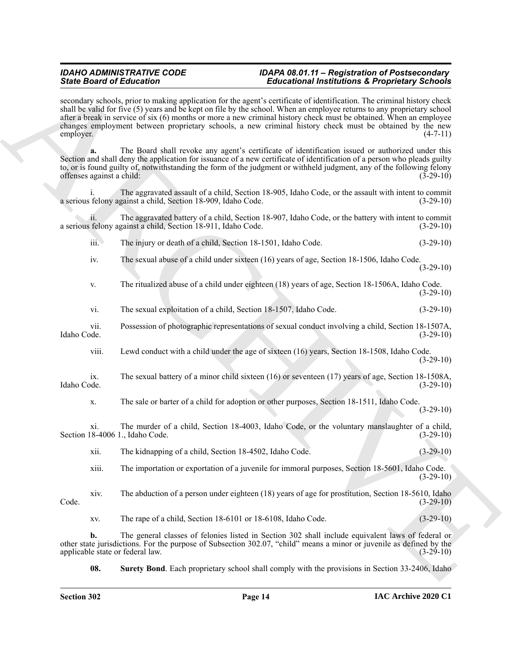<span id="page-13-0"></span>

| <b>State Board of Education</b><br>employer. |                                                               | <b>Educational Institutions &amp; Proprietary Schools</b><br>secondary schools, prior to making application for the agent's certificate of identification. The criminal history check<br>shall be valid for five (5) years and be kept on file by the school. When an employee returns to any proprietary school<br>after a break in service of six (6) months or more a new criminal history check must be obtained. When an employee<br>changes employment between proprietary schools, a new criminal history check must be obtained by the new<br>$(4-7-11)$ |             |
|----------------------------------------------|---------------------------------------------------------------|------------------------------------------------------------------------------------------------------------------------------------------------------------------------------------------------------------------------------------------------------------------------------------------------------------------------------------------------------------------------------------------------------------------------------------------------------------------------------------------------------------------------------------------------------------------|-------------|
|                                              |                                                               |                                                                                                                                                                                                                                                                                                                                                                                                                                                                                                                                                                  |             |
|                                              | a serious felony against a child, Section 18-909, Idaho Code. | The aggravated assault of a child, Section 18-905, Idaho Code, or the assault with intent to commit                                                                                                                                                                                                                                                                                                                                                                                                                                                              | $(3-29-10)$ |
| 11.                                          | a serious felony against a child, Section 18-911, Idaho Code. | The aggravated battery of a child, Section 18-907, Idaho Code, or the battery with intent to commit                                                                                                                                                                                                                                                                                                                                                                                                                                                              | $(3-29-10)$ |
| $\overline{\text{iii}}$ .                    | The injury or death of a child, Section 18-1501, Idaho Code.  |                                                                                                                                                                                                                                                                                                                                                                                                                                                                                                                                                                  | $(3-29-10)$ |
| iv.                                          |                                                               | The sexual abuse of a child under sixteen (16) years of age, Section 18-1506, Idaho Code.                                                                                                                                                                                                                                                                                                                                                                                                                                                                        | $(3-29-10)$ |
| V.                                           |                                                               | The ritualized abuse of a child under eighteen (18) years of age, Section 18-1506A, Idaho Code.                                                                                                                                                                                                                                                                                                                                                                                                                                                                  | $(3-29-10)$ |
| vi.                                          |                                                               | The sexual exploitation of a child, Section 18-1507, Idaho Code.                                                                                                                                                                                                                                                                                                                                                                                                                                                                                                 | $(3-29-10)$ |
| vii.<br>Idaho Code.                          |                                                               | Possession of photographic representations of sexual conduct involving a child, Section 18-1507A,                                                                                                                                                                                                                                                                                                                                                                                                                                                                | $(3-29-10)$ |
| viii.                                        |                                                               | Lewd conduct with a child under the age of sixteen (16) years, Section 18-1508, Idaho Code.                                                                                                                                                                                                                                                                                                                                                                                                                                                                      | $(3-29-10)$ |
| ix.<br>Idaho Code.                           |                                                               | The sexual battery of a minor child sixteen (16) or seventeen (17) years of age, Section 18-1508A,                                                                                                                                                                                                                                                                                                                                                                                                                                                               | $(3-29-10)$ |
| X.                                           |                                                               | The sale or barter of a child for adoption or other purposes, Section 18-1511, Idaho Code.                                                                                                                                                                                                                                                                                                                                                                                                                                                                       | $(3-29-10)$ |
| X1.                                          | Section 18-4006 1., Idaho Code.                               | The murder of a child, Section 18-4003, Idaho Code, or the voluntary manslaughter of a child,                                                                                                                                                                                                                                                                                                                                                                                                                                                                    | $(3-29-10)$ |
| xii.                                         | The kidnapping of a child, Section 18-4502, Idaho Code.       |                                                                                                                                                                                                                                                                                                                                                                                                                                                                                                                                                                  | $(3-29-10)$ |
| xiii.                                        |                                                               | The importation or exportation of a juvenile for immoral purposes, Section 18-5601, Idaho Code.                                                                                                                                                                                                                                                                                                                                                                                                                                                                  | $(3-29-10)$ |
| xiv.<br>Code.                                |                                                               | The abduction of a person under eighteen (18) years of age for prostitution, Section 18-5610, Idaho                                                                                                                                                                                                                                                                                                                                                                                                                                                              | $(3-29-10)$ |
| XV.                                          | The rape of a child, Section 18-6101 or 18-6108, Idaho Code.  |                                                                                                                                                                                                                                                                                                                                                                                                                                                                                                                                                                  | $(3-29-10)$ |
| b.                                           | applicable state or federal law.                              | The general classes of felonies listed in Section 302 shall include equivalent laws of federal or<br>other state jurisdictions. For the purpose of Subsection 302.07, "child" means a minor or juvenile as defined by the                                                                                                                                                                                                                                                                                                                                        | $(3-29-10)$ |
| 08.                                          |                                                               | Surety Bond. Each proprietary school shall comply with the provisions in Section 33-2406, Idaho                                                                                                                                                                                                                                                                                                                                                                                                                                                                  |             |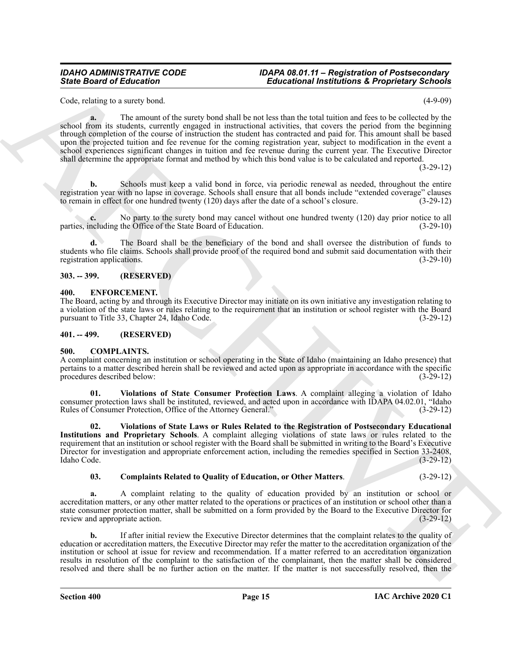Code, relating to a surety bond. (4-9-09)

Since Board of Ecliptonia (and 1) and the United States in the Ecliptonia (and 1) and 1) and 1) and 1) and 1) and 1) and 1) and 1) and 1) and 1) and 1) and 1) and 1) and 1) and 1) and 1) and 1) and 1) and 1) and 1) and 1) **a.** The amount of the surety bond shall be not less than the total tuition and fees to be collected by the school from its students, currently engaged in instructional activities, that covers the period from the beginning through completion of the course of instruction the student has contracted and paid for. This amount shall be based upon the projected tuition and fee revenue for the coming registration year, subject to modification in the event a school experiences significant changes in tuition and fee revenue during the current year. The Executive Director shall determine the appropriate format and method by which this bond value is to be calculated and reported.

(3-29-12)

**b.** Schools must keep a valid bond in force, via periodic renewal as needed, throughout the entire registration year with no lapse in coverage. Schools shall ensure that all bonds include "extended coverage" clauses<br>to remain in effect for one hundred twenty (120) days after the date of a school's closure. (3-29-12) to remain in effect for one hundred twenty (120) days after the date of a school's closure.

**c.** No party to the surety bond may cancel without one hundred twenty (120) day prior notice to all neluding the Office of the State Board of Education. (3-29-10) parties, including the Office of the State Board of Education.

**d.** The Board shall be the beneficiary of the bond and shall oversee the distribution of funds to students who file claims. Schools shall provide proof of the required bond and submit said documentation with their registration applications. (3-29-10)

#### <span id="page-14-0"></span>**303. -- 399. (RESERVED)**

#### <span id="page-14-8"></span><span id="page-14-1"></span>**400. ENFORCEMENT.**

The Board, acting by and through its Executive Director may initiate on its own initiative any investigation relating to a violation of the state laws or rules relating to the requirement that an institution or school register with the Board pursuant to Title 33, Chapter 24, Idaho Code. (3-29-12) pursuant to Title 33, Chapter 24, Idaho Code.

#### <span id="page-14-2"></span>**401. -- 499. (RESERVED)**

#### <span id="page-14-4"></span><span id="page-14-3"></span>**500. COMPLAINTS.**

A complaint concerning an institution or school operating in the State of Idaho (maintaining an Idaho presence) that pertains to a matter described herein shall be reviewed and acted upon as appropriate in accordance with the specific procedures described below: (3-29-12)

<span id="page-14-6"></span>**01. Violations of State Consumer Protection Laws**. A complaint alleging a violation of Idaho consumer protection laws shall be instituted, reviewed, and acted upon in accordance with IDAPA 04.02.01, "Idaho Rules of Consumer Protection, Office of the Attorney General." (3-29-12) Rules of Consumer Protection, Office of the Attorney General."

<span id="page-14-7"></span>**02. Violations of State Laws or Rules Related to the Registration of Postsecondary Educational Institutions and Proprietary Schools**. A complaint alleging violations of state laws or rules related to the requirement that an institution or school register with the Board shall be submitted in writing to the Board's Executive Director for investigation and appropriate enforcement action, including the remedies specified in Section 33-2408, Idaho Code. (3-29-12) Idaho Code. (3-29-12)

#### <span id="page-14-5"></span>**03. Complaints Related to Quality of Education, or Other Matters**. (3-29-12)

**a.** A complaint relating to the quality of education provided by an institution or school or accreditation matters, or any other matter related to the operations or practices of an institution or school other than a state consumer protection matter, shall be submitted on a form provided by the Board to the Executive Director for review and appropriate action. (3-29-12) review and appropriate action.

**b.** If after initial review the Executive Director determines that the complaint relates to the quality of education or accreditation matters, the Executive Director may refer the matter to the accreditation organization of the institution or school at issue for review and recommendation. If a matter referred to an accreditation organization results in resolution of the complaint to the satisfaction of the complainant, then the matter shall be considered resolved and there shall be no further action on the matter. If the matter is not successfully resolved, then the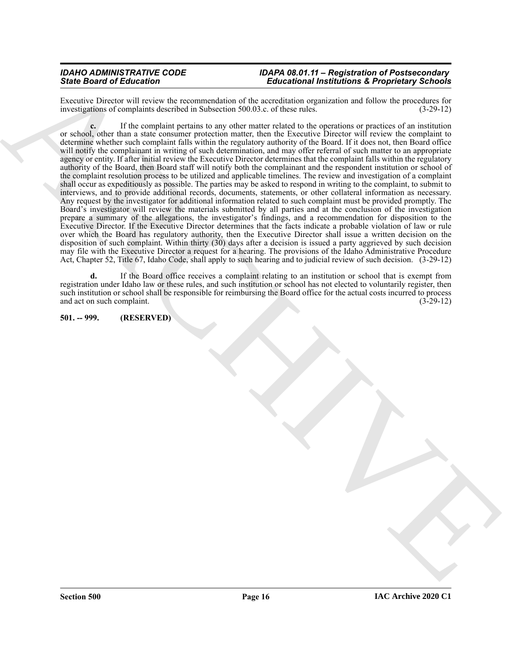Executive Director will review the recommendation of the accreditation organization and follow the procedures for investigations of complaints described in Subsection 500.03.c. of these rules. (3-29-12) investigations of complaints described in Subsection 500.03.c. of these rules.

Since Board of Editorios on the material political interactional interactions are effectively applied to the state of the state of the state of the control interaction of the state of the state of the state of the control **c.** If the complaint pertains to any other matter related to the operations or practices of an institution or school, other than a state consumer protection matter, then the Executive Director will review the complaint to determine whether such complaint falls within the regulatory authority of the Board. If it does not, then Board office will notify the complainant in writing of such determination, and may offer referral of such matter to an appropriate agency or entity. If after initial review the Executive Director determines that the complaint falls within the regulatory authority of the Board, then Board staff will notify both the complainant and the respondent institution or school of the complaint resolution process to be utilized and applicable timelines. The review and investigation of a complaint shall occur as expeditiously as possible. The parties may be asked to respond in writing to the complaint, to submit to interviews, and to provide additional records, documents, statements, or other collateral information as necessary. Any request by the investigator for additional information related to such complaint must be provided promptly. The Board's investigator will review the materials submitted by all parties and at the conclusion of the investigation prepare a summary of the allegations, the investigator's findings, and a recommendation for disposition to the Executive Director. If the Executive Director determines that the facts indicate a probable violation of law or rule over which the Board has regulatory authority, then the Executive Director shall issue a written decision on the disposition of such complaint. Within thirty (30) days after a decision is issued a party aggrieved by such decision may file with the Executive Director a request for a hearing. The provisions of the Idaho Administrative Procedure Act, Chapter 52, Title 67, Idaho Code, shall apply to such hearing and to judicial review of such decision. (3-29-12)

**d.** If the Board office receives a complaint relating to an institution or school that is exempt from registration under Idaho law or these rules, and such institution or school has not elected to voluntarily register, then such institution or school shall be responsible for reimbursing the Board office for the actual costs incurred to process and act on such complaint. (3-29-12)

#### <span id="page-15-0"></span>**501. -- 999. (RESERVED)**